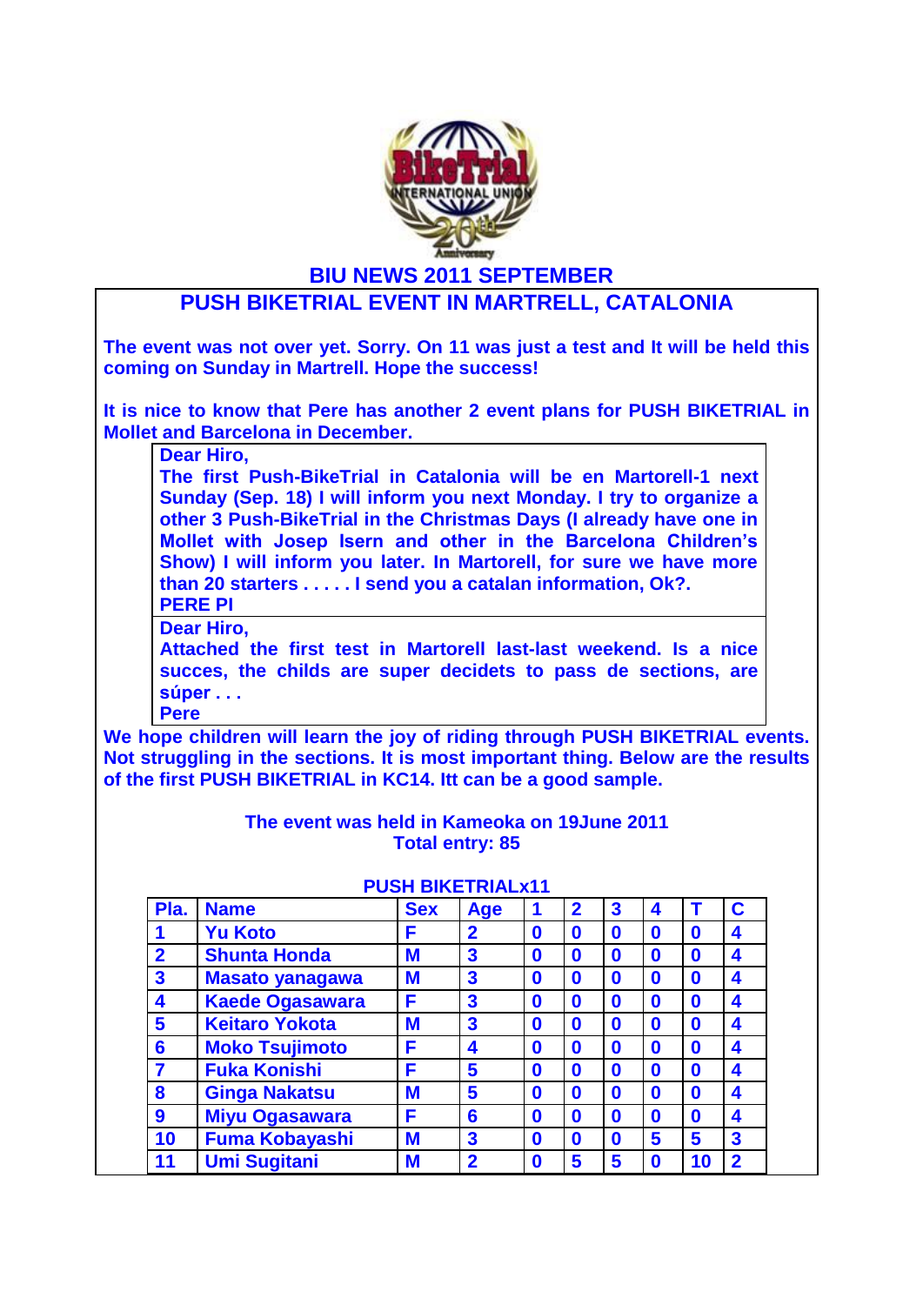

**BIU NEWS 2011 SEPTEMBER**

## **PUSH BIKETRIAL EVENT IN MARTRELL, CATALONIA**

**The event was not over yet. Sorry. On 11 was just a test and It will be held this coming on Sunday in Martrell. Hope the success!**

**It is nice to know that Pere has another 2 event plans for PUSH BIKETRIAL in Mollet and Barcelona in December.** 

**Dear Hiro,**

**The first Push-BikeTrial in Catalonia will be en Martorell-1 next Sunday (Sep. 18) I will inform you next Monday. I try to organize a other 3 Push-BikeTrial in the Christmas Days (I already have one in Mollet with Josep Isern and other in the Barcelona Children's Show) I will inform you later. In Martorell, for sure we have more than 20 starters . . . . . I send you a catalan information, Ok?. PERE PI**

**Dear Hiro,**

**Attached the first test in Martorell last-last weekend. Is a nice succes, the childs are super decidets to pass de sections, are súper . . .** 

**Pere**

**We hope children will learn the joy of riding through PUSH BIKETRIAL events. Not struggling in the sections. It is most important thing. Below are the results of the first PUSH BIKETRIAL in KC14. Itt can be a good sample.**

> **The event was held in Kameoka on 19June 2011 Total entry: 85**

| Pla.                    | <b>Name</b>            | <b>Sex</b> | <b>Age</b>              |             | $\mathbf 2$      | 3 | 4           |                  | C                       |
|-------------------------|------------------------|------------|-------------------------|-------------|------------------|---|-------------|------------------|-------------------------|
|                         | <b>Yu Koto</b>         | F          | $\overline{2}$          | 0           | 0                | 0 | $\mathbf 0$ | 0                | 4                       |
| $\overline{2}$          | <b>Shunta Honda</b>    | M          | 3                       | 0           | $\boldsymbol{0}$ | 0 | $\mathbf 0$ | $\mathbf 0$      | 4                       |
| $\overline{\mathbf{3}}$ | <b>Masato yanagawa</b> | M          | 3                       | 0           | $\boldsymbol{0}$ | 0 | $\mathbf 0$ | $\mathbf 0$      | 4                       |
| 4                       | <b>Kaede Ogasawara</b> | F          | 3                       | $\bf{0}$    | $\boldsymbol{0}$ | 0 | $\mathbf 0$ | $\mathbf 0$      | 4                       |
| 5                       | <b>Keitaro Yokota</b>  | M          | $\overline{\mathbf{3}}$ | $\bf{0}$    | $\boldsymbol{0}$ | 0 | $\mathbf 0$ | $\mathbf 0$      | 4                       |
| 6                       | <b>Moko Tsujimoto</b>  | F          | 4                       | 0           | $\boldsymbol{0}$ | 0 | $\mathbf 0$ | $\mathbf 0$      | 4                       |
| 7                       | <b>Fuka Konishi</b>    | F          | 5                       | 0           | $\boldsymbol{0}$ | 0 | $\mathbf 0$ | $\mathbf 0$      | 4                       |
| 8                       | <b>Ginga Nakatsu</b>   | M          | 5                       | $\bf{0}$    | $\boldsymbol{0}$ | 0 | $\mathbf 0$ | $\boldsymbol{0}$ | 4                       |
| 9                       | <b>Miyu Ogasawara</b>  | F          | 6                       | $\mathbf 0$ | $\boldsymbol{0}$ | 0 | $\mathbf 0$ | $\mathbf 0$      | 4                       |
| 10                      | <b>Fuma Kobayashi</b>  | M          | 3                       | 0           | $\boldsymbol{0}$ | 0 | 5           | 5                | $\overline{\mathbf{3}}$ |
| 11                      | <b>Umi Sugitani</b>    | M          | $\overline{2}$          | 0           | 5                | 5 | $\mathbf 0$ | 10               | $\mathbf 2$             |

## **PUSH BIKETRIALx11**